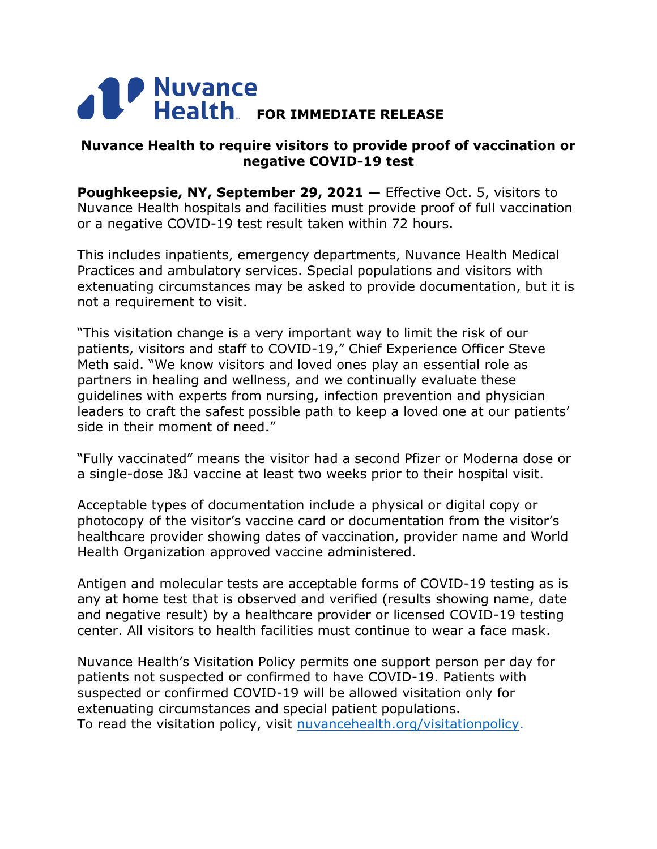## **FOR IMMEDIATE RELEASE**

## **Nuvance Health to require visitors to provide proof of vaccination or negative COVID-19 test**

**Poughkeepsie, NY, September 29, 2021 – Effective Oct. 5, visitors to** Nuvance Health hospitals and facilities must provide proof of full vaccination or a negative COVID-19 test result taken within 72 hours.

This includes inpatients, emergency departments, Nuvance Health Medical Practices and ambulatory services. Special populations and visitors with extenuating circumstances may be asked to provide documentation, but it is not a requirement to visit.

"This visitation change is a very important way to limit the risk of our patients, visitors and staff to COVID-19," Chief Experience Officer Steve Meth said. "We know visitors and loved ones play an essential role as partners in healing and wellness, and we continually evaluate these guidelines with experts from nursing, infection prevention and physician leaders to craft the safest possible path to keep a loved one at our patients' side in their moment of need."

"Fully vaccinated" means the visitor had a second Pfizer or Moderna dose or a single-dose J&J vaccine at least two weeks prior to their hospital visit.

Acceptable types of documentation include a physical or digital copy or photocopy of the visitor's vaccine card or documentation from the visitor's healthcare provider showing dates of vaccination, provider name and World Health Organization approved vaccine administered.

Antigen and molecular tests are acceptable forms of COVID-19 testing as is any at home test that is observed and verified (results showing name, date and negative result) by a healthcare provider or licensed COVID-19 testing center. All visitors to health facilities must continue to wear a face mask.

Nuvance Health's Visitation Policy permits one support person per day for patients not suspected or confirmed to have COVID-19. Patients with suspected or confirmed COVID-19 will be allowed visitation only for extenuating circumstances and special patient populations. To read the visitation policy, visit [nuvancehealth.org/visitationpolicy.](http://www.nuvancehealth.org/visitationpolicy)